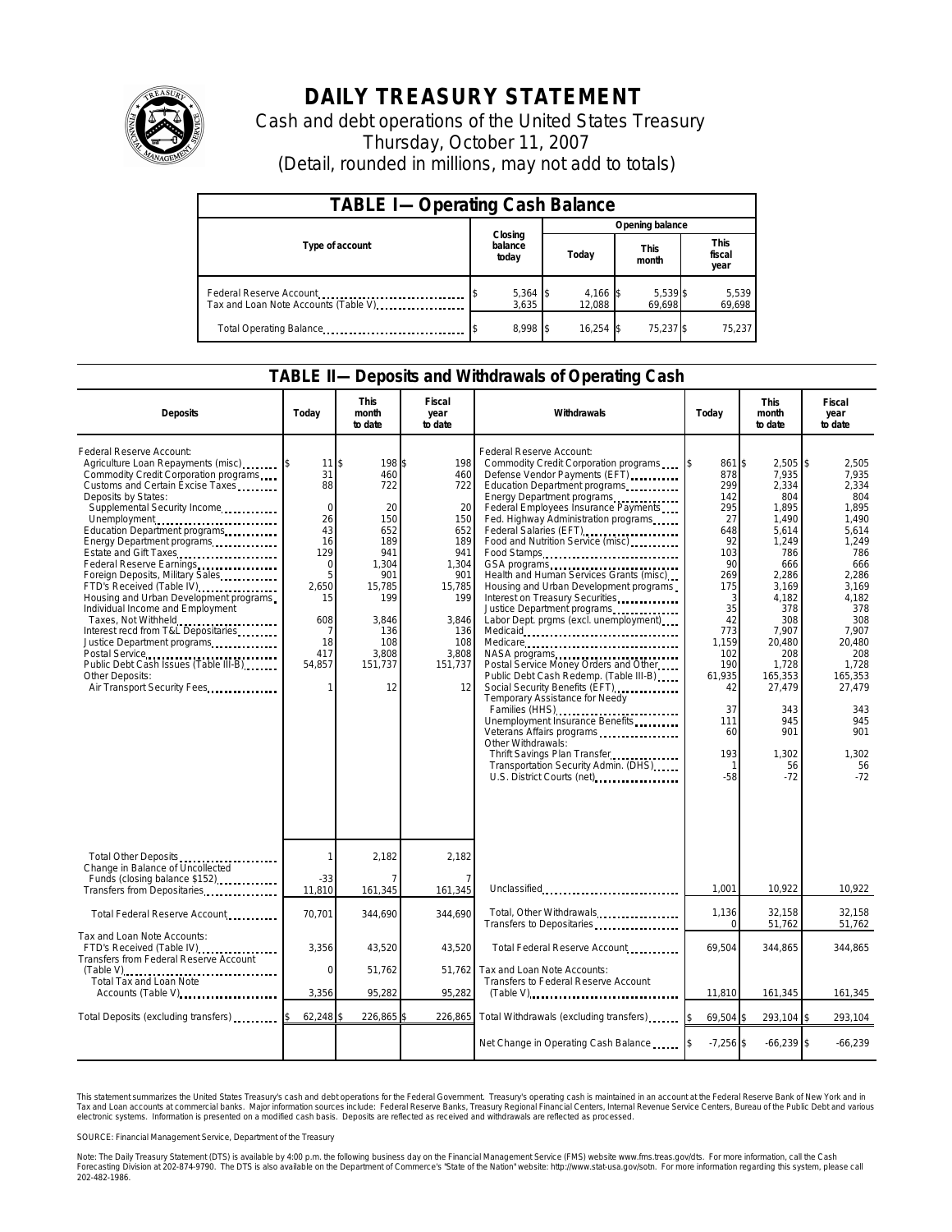

## **DAILY TREASURY STATEMENT**

Cash and debt operations of the United States Treasury Thursday, October 11, 2007 (Detail, rounded in millions, may not add to totals)

| <b>TABLE I-Operating Cash Balance</b>                           |                             |                    |                      |                               |  |  |  |
|-----------------------------------------------------------------|-----------------------------|--------------------|----------------------|-------------------------------|--|--|--|
|                                                                 |                             | Opening balance    |                      |                               |  |  |  |
| Type of account                                                 | Closing<br>balance<br>today | Today              | <b>This</b><br>month | <b>This</b><br>fiscal<br>year |  |  |  |
| Federal Reserve Account<br>Tax and Loan Note Accounts (Table V) | 5,364 \$<br>3.635           | 4,166 \$<br>12.088 | 5,539 \$<br>69,698   | 5,539<br>69,698               |  |  |  |
| Total Operating Balance                                         | 8,998 \$                    | 16.254             | 75,237 \$            | 75,237                        |  |  |  |

## **TABLE II—Deposits and Withdrawals of Operating Cash**

| <b>Deposits</b>                                                                                                                                                                                                                                                                                                                                                                                                                                                                                                                                                                                                                                                                                 | Todav                                                                                                                          | <b>This</b><br>month<br>to date                                                                                                                | <b>Fiscal</b><br>year<br>to date                                                                                                      | Withdrawals                                                                                                                                                                                                                                                                                                                                                                                                                                                                                                                                                                                                                                                                                                                                                                                                                                                                                                                                        | Today                                                                                                                                                                              | <b>This</b><br>month<br>to date                                                                                                                                                                                                     | Fiscal<br>year<br>to date                                                                                                                                                                                                      |
|-------------------------------------------------------------------------------------------------------------------------------------------------------------------------------------------------------------------------------------------------------------------------------------------------------------------------------------------------------------------------------------------------------------------------------------------------------------------------------------------------------------------------------------------------------------------------------------------------------------------------------------------------------------------------------------------------|--------------------------------------------------------------------------------------------------------------------------------|------------------------------------------------------------------------------------------------------------------------------------------------|---------------------------------------------------------------------------------------------------------------------------------------|----------------------------------------------------------------------------------------------------------------------------------------------------------------------------------------------------------------------------------------------------------------------------------------------------------------------------------------------------------------------------------------------------------------------------------------------------------------------------------------------------------------------------------------------------------------------------------------------------------------------------------------------------------------------------------------------------------------------------------------------------------------------------------------------------------------------------------------------------------------------------------------------------------------------------------------------------|------------------------------------------------------------------------------------------------------------------------------------------------------------------------------------|-------------------------------------------------------------------------------------------------------------------------------------------------------------------------------------------------------------------------------------|--------------------------------------------------------------------------------------------------------------------------------------------------------------------------------------------------------------------------------|
| Federal Reserve Account:<br>Agriculture Loan Repayments (misc)<br>Commodity Credit Corporation programs<br>Customs and Certain Excise Taxes<br>Deposits by States:<br>Supplemental Security Income<br>Unemployment<br>Education Department programs<br>Energy Department programs<br>Estate and Gift Taxes<br>Federal Reserve Earnings<br>Foreign Deposits, Military Sales<br>FTD's Received (Table IV)<br>Housing and Urban Development programs<br>Individual Income and Employment<br>Taxes, Not Withheld<br>Interest recd from T&L Depositaries<br>Justice Department programs<br>Postal Service<br>Public Debt Cash Issues (Table III-B)<br>Other Deposits:<br>Air Transport Security Fees | 11<br>31<br>88<br>$\Omega$<br>26<br>43<br>16<br>129<br>$\mathbf 0$<br>5<br>2,650<br>15<br>608<br>7<br>18<br>417<br>54,857<br>1 | 198 \$<br>\$<br>460<br>722<br>20<br>150<br>652<br>189<br>941<br>1.304<br>901<br>15,785<br>199<br>3.846<br>136<br>108<br>3.808<br>151,737<br>12 | 198<br>460<br>722<br>20<br>150<br>652<br>189<br>941<br>1.304<br>901<br>15,785<br>199<br>3,846<br>136<br>108<br>3.808<br>151,737<br>12 | Federal Reserve Account:<br>Commodity Credit Corporation programs<br>Defense Vendor Payments (EFT)<br>Education Department programs<br>Energy Department programs<br>Federal Employees Insurance Payments<br>Fed. Highway Administration programs<br>Federal Salaries (EFT)<br>Food and Nutrition Service (misc)<br>Food Stamps<br>GSA programs<br>Health and Human Services Grants (misc)<br>Housing and Urban Development programs<br>Interest on Treasury Securities<br>Justice Department programs<br>Labor Dept. prgms (excl. unemployment)<br>Medicare<br>NASA programs<br>Postal Service Money Orders and Other<br>Public Debt Cash Redemp. (Table III-B)<br>Social Security Benefits (EFT)<br>Temporary Assistance for Needy<br>Families (HHS)<br>Unemployment Insurance Benefits<br>Veterans Affairs programs<br>Other Withdrawals:<br>Thrift Savings Plan Transfer<br>Transportation Security Admin. (DHS)<br>U.S. District Courts (net) | 861 \$<br>878<br>299<br>142<br>295<br>27<br>648<br>92<br>103<br>90<br>269<br>175<br>3<br>35<br>42<br>773<br>1,159<br>102<br>190<br>61,935<br>42<br>37<br>111<br>60<br>193<br>$-58$ | $2,505$ \$<br>7,935<br>2,334<br>804<br>1,895<br>1,490<br>5,614<br>1,249<br>786<br>666<br>2,286<br>3,169<br>4,182<br>378<br>308<br>7.907<br>20,480<br>208<br>1,728<br>165,353<br>27,479<br>343<br>945<br>901<br>1,302<br>56<br>$-72$ | 2,505<br>7.935<br>2,334<br>804<br>1.895<br>1,490<br>5,614<br>1.249<br>786<br>666<br>2.286<br>3,169<br>4,182<br>378<br>308<br>7.907<br>20,480<br>208<br>1.728<br>165.353<br>27,479<br>343<br>945<br>901<br>1,302<br>56<br>$-72$ |
| Total Other Deposits<br>Change in Balance of Uncollected                                                                                                                                                                                                                                                                                                                                                                                                                                                                                                                                                                                                                                        | 1                                                                                                                              | 2,182                                                                                                                                          | 2,182                                                                                                                                 |                                                                                                                                                                                                                                                                                                                                                                                                                                                                                                                                                                                                                                                                                                                                                                                                                                                                                                                                                    |                                                                                                                                                                                    |                                                                                                                                                                                                                                     |                                                                                                                                                                                                                                |
| Funds (closing balance \$152)<br>Transfers from Depositaries                                                                                                                                                                                                                                                                                                                                                                                                                                                                                                                                                                                                                                    | -33<br>11,810                                                                                                                  | 161,345                                                                                                                                        | 161,345                                                                                                                               | Unclassified                                                                                                                                                                                                                                                                                                                                                                                                                                                                                                                                                                                                                                                                                                                                                                                                                                                                                                                                       | 1,001                                                                                                                                                                              | 10,922                                                                                                                                                                                                                              | 10,922                                                                                                                                                                                                                         |
| Total Federal Reserve Account                                                                                                                                                                                                                                                                                                                                                                                                                                                                                                                                                                                                                                                                   | 70,701                                                                                                                         | 344,690                                                                                                                                        | 344,690                                                                                                                               | Total, Other Withdrawals<br>Transfers to Depositaries                                                                                                                                                                                                                                                                                                                                                                                                                                                                                                                                                                                                                                                                                                                                                                                                                                                                                              | 1,136<br>$\Omega$                                                                                                                                                                  | 32,158<br>51,762                                                                                                                                                                                                                    | 32.158<br>51,762                                                                                                                                                                                                               |
| Tax and Loan Note Accounts:<br>FTD's Received (Table IV)<br>Transfers from Federal Reserve Account                                                                                                                                                                                                                                                                                                                                                                                                                                                                                                                                                                                              | 3,356                                                                                                                          | 43,520                                                                                                                                         | 43,520                                                                                                                                | Total Federal Reserve Account                                                                                                                                                                                                                                                                                                                                                                                                                                                                                                                                                                                                                                                                                                                                                                                                                                                                                                                      | 69.504                                                                                                                                                                             | 344,865                                                                                                                                                                                                                             | 344,865                                                                                                                                                                                                                        |
| (Table V)<br>Total Tax and Loan Note<br>Accounts (Table V)                                                                                                                                                                                                                                                                                                                                                                                                                                                                                                                                                                                                                                      | $\mathbf 0$<br>3,356                                                                                                           | 51,762<br>95,282                                                                                                                               | 51,762<br>95,282                                                                                                                      | Tax and Loan Note Accounts:<br>Transfers to Federal Reserve Account<br>$(Table V)$                                                                                                                                                                                                                                                                                                                                                                                                                                                                                                                                                                                                                                                                                                                                                                                                                                                                 | 11,810                                                                                                                                                                             | 161,345                                                                                                                                                                                                                             | 161,345                                                                                                                                                                                                                        |
| Total Deposits (excluding transfers)                                                                                                                                                                                                                                                                                                                                                                                                                                                                                                                                                                                                                                                            | 62,248                                                                                                                         | 226,865                                                                                                                                        | 226,865                                                                                                                               | Total Withdrawals (excluding transfers)                                                                                                                                                                                                                                                                                                                                                                                                                                                                                                                                                                                                                                                                                                                                                                                                                                                                                                            | 69,504 \$                                                                                                                                                                          | 293,104                                                                                                                                                                                                                             | 293,104<br>ß.                                                                                                                                                                                                                  |
|                                                                                                                                                                                                                                                                                                                                                                                                                                                                                                                                                                                                                                                                                                 |                                                                                                                                |                                                                                                                                                |                                                                                                                                       | Net Change in Operating Cash Balance                                                                                                                                                                                                                                                                                                                                                                                                                                                                                                                                                                                                                                                                                                                                                                                                                                                                                                               | $-7,256$ \$                                                                                                                                                                        | $-66,239$ \$                                                                                                                                                                                                                        | $-66,239$                                                                                                                                                                                                                      |

This statement summarizes the United States Treasury's cash and debt operations for the Federal Government. Treasury's operating cash is maintained in an account at the Federal Reserve Bank of New York and in<br>Tax and Loan narizes the United States Treasury's cash and debt operations for the Federal Government. Treasury's operating cash is maintained in an account at the Federal Reserve Bank of New York and in<br>nts at commercial banks. Major

SOURCE: Financial Management Service, Department of the Treasury

Note: The Daily Treasury Statement (DTS) is available by 4:00 p.m. the following business day on the Financial Management Service (FMS) website www.fms.treas.gov/dts. For more information, call the Cash<br>Forecasting Divisio 202-482-1986.